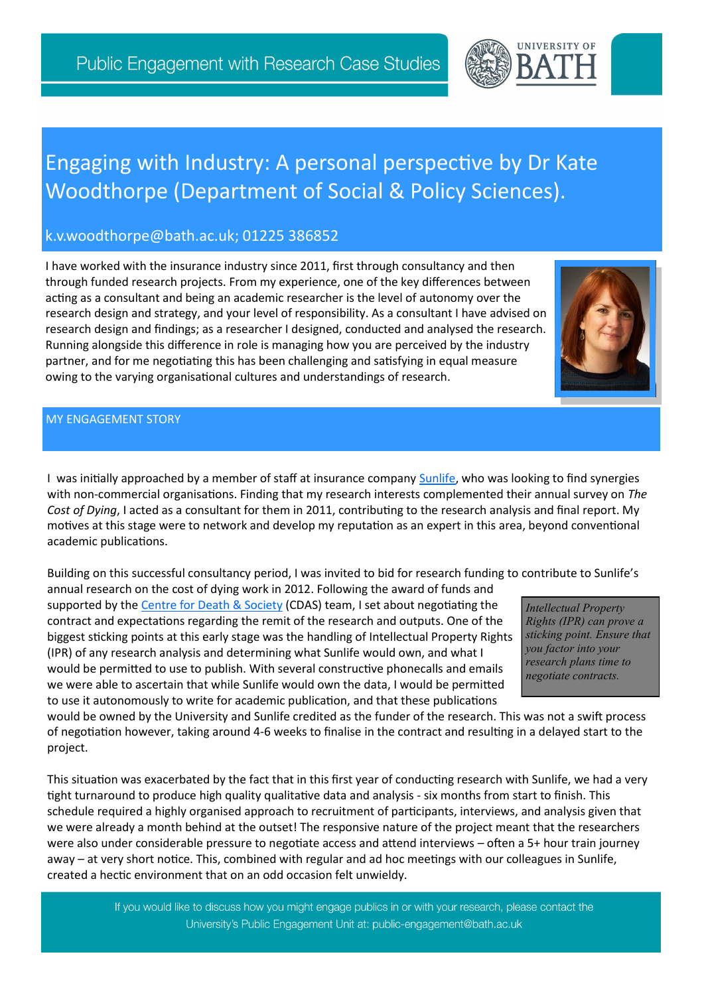## Engaging with Industry: A personal perspective by Dr Kate Woodthorpe (Department of Social & Policy Sciences).

## k.v.woodthorpe@bath.ac.uk; 01225 386852

I have worked with the insurance industry since 2011, first through consultancy and then through funded research projects. From my experience, one of the key differences between acting as a consultant and being an academic researcher is the level of autonomy over the research design and strategy, and your level of responsibility. As a consultant I have advised on research design and findings; as a researcher I designed, conducted and analysed the research. Running alongside this difference in role is managing how you are perceived by the industry partner, and for me negotiating this has been challenging and satisfying in equal measure owing to the varying organisational cultures and understandings of research.

## MY ENGAGEMENT STORY

I was initially approached by a member of staff at insurance company [Sunlife,](https://www.sunlifedirect.co.uk/) who was looking to find synergies with non-commercial organisations. Finding that my research interests complemented their annual survey on *The Cost of Dying*, I acted as a consultant for them in 2011, contributing to the research analysis and final report. My motives at this stage were to network and develop my reputation as an expert in this area, beyond conventional academic publications.

Building on this successful consultancy period, I was invited to bid for research funding to contribute to Sunlife's

annual research on the cost of dying work in 2012. Following the award of funds and supported by the [Centre for Death & Society](http://www.bath.ac.uk/cdas/) (CDAS) team, I set about negotiating the contract and expectations regarding the remit of the research and outputs. One of the biggest sticking points at this early stage was the handling of Intellectual Property Rights (IPR) of any research analysis and determining what Sunlife would own, and what I would be permitted to use to publish. With several constructive phonecalls and emails we were able to ascertain that while Sunlife would own the data, I would be permitted to use it autonomously to write for academic publication, and that these publications

would be owned by the University and Sunlife credited as the funder of the research. This was not a swift process of negotiation however, taking around 4-6 weeks to finalise in the contract and resulting in a delayed start to the project.

This situation was exacerbated by the fact that in this first year of conducting research with Sunlife, we had a very tight turnaround to produce high quality qualitative data and analysis - six months from start to finish. This schedule required a highly organised approach to recruitment of participants, interviews, and analysis given that we were already a month behind at the outset! The responsive nature of the project meant that the researchers were also under considerable pressure to negotiate access and attend interviews – often a 5+ hour train journey away – at very short notice. This, combined with regular and ad hoc meetings with our colleagues in Sunlife, created a hectic environment that on an odd occasion felt unwieldy.

> If you would like to discuss how you might engage publics in or with your research, please contact the University's Public Engagement Unit at: public-engagement@bath.ac.uk



*Intellectual Property Rights (IPR) can prove a sticking point. Ensure that you factor into your research plans time to negotiate contracts.*